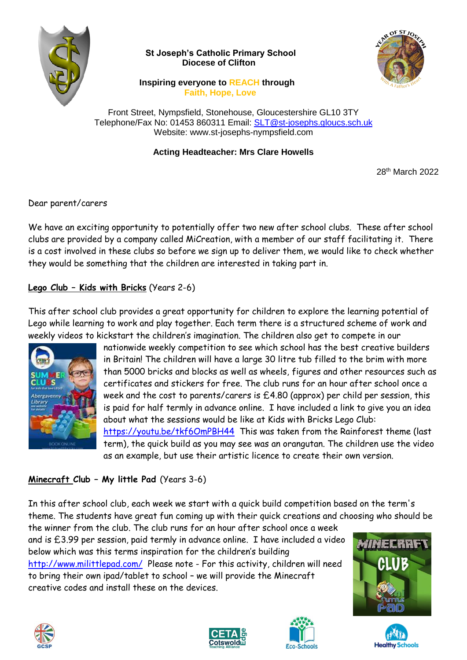

 **St Joseph's Catholic Primary School Diocese of Clifton**



 **Inspiring everyone to REACH through Faith, Hope, Love**

Front Street, Nympsfield, Stonehouse, Gloucestershire GL10 3TY Telephone/Fax No: 01453 860311 Email: [SLT@st-josephs.gloucs.sch.uk](mailto:SLT@st-josephs.gloucs.sch.uk) Website: www.st-josephs-nympsfield.com

## **Acting Headteacher: Mrs Clare Howells**

28<sup>th</sup> March 2022

Dear parent/carers

We have an exciting opportunity to potentially offer two new after school clubs. These after school clubs are provided by a company called MiCreation, with a member of our staff facilitating it. There is a cost involved in these clubs so before we sign up to deliver them, we would like to check whether they would be something that the children are interested in taking part in.

## **Lego Club – Kids with Bricks** (Years 2-6)

This after school club provides a great opportunity for children to explore the learning potential of Lego while learning to work and play together. Each term there is a structured scheme of work and weekly videos to kickstart the children's imagination. The children also get to compete in our



nationwide weekly competition to see which school has the best creative builders in Britain! The children will have a large 30 litre tub filled to the brim with more than 5000 bricks and blocks as well as wheels, figures and other resources such as certificates and stickers for free. The club runs for an hour after school once a week and the cost to parents/carers is £4.80 (approx) per child per session, this is paid for half termly in advance online. I have included a link to give you an idea about what the sessions would be like at Kids with Bricks Lego Club: <https://youtu.be/tkf6OmPBH44>This was taken from the Rainforest theme (last term), the quick build as you may see was an orangutan. The children use the video as an example, but use their artistic licence to create their own version.

## **Minecraft Club – My little Pad** (Years 3-6)

In this after school club, each week we start with a quick build competition based on the term's theme. The students have great fun coming up with their quick creations and choosing who should be

the winner from the club. The club runs for an hour after school once a week and is £3.99 per session, paid termly in advance online. I have included a video below which was this terms inspiration for the children's building <http://www.milittlepad.com/> Please note - For this activity, children will need to bring their own ipad/tablet to school – we will provide the Minecraft creative codes and install these on the devices.